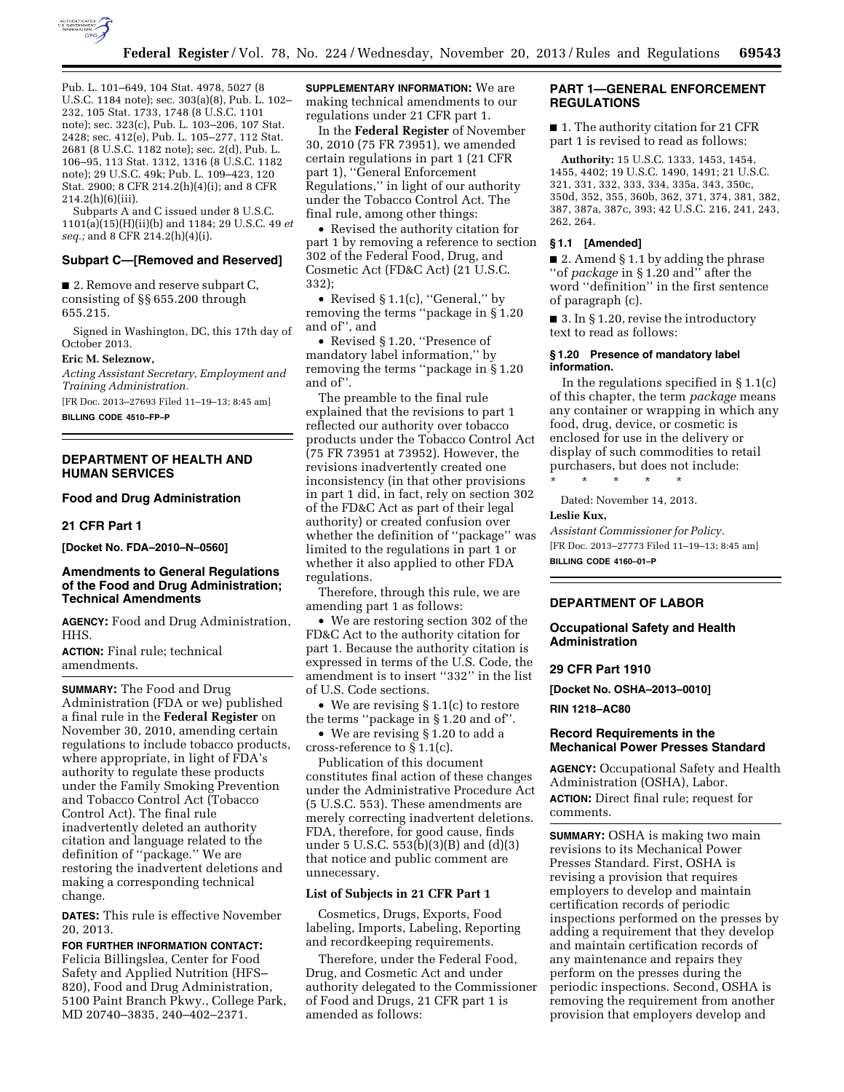

Pub. L. 101–649, 104 Stat. 4978, 5027 (8 U.S.C. 1184 note); sec. 303(a)(8), Pub. L. 102– 232, 105 Stat. 1733, 1748 (8 U.S.C. 1101 note); sec. 323(c), Pub. L. 103–206, 107 Stat. 2428; sec. 412(e), Pub. L. 105–277, 112 Stat. 2681 (8 U.S.C. 1182 note); sec. 2(d), Pub. L. 106–95, 113 Stat. 1312, 1316 (8 U.S.C. 1182 note); 29 U.S.C. 49k; Pub. L. 109–423, 120 Stat. 2900; 8 CFR 214.2(h)(4)(i); and 8 CFR 214.2(h)(6)(iii).

Subparts A and C issued under 8 U.S.C. 1101(a)(15)(H)(ii)(b) and 1184; 29 U.S.C. 49 *et seq.;* and 8 CFR 214.2(h)(4)(i).

#### **Subpart C—[Removed and Reserved]**

■ 2. Remove and reserve subpart C, consisting of §§ 655.200 through 655.215.

Signed in Washington, DC, this 17th day of October 2013.

#### **Eric M. Seleznow,**

*Acting Assistant Secretary, Employment and Training Administration.* 

[FR Doc. 2013–27693 Filed 11–19–13; 8:45 am]

**BILLING CODE 4510–FP–P** 

### **DEPARTMENT OF HEALTH AND HUMAN SERVICES**

# **Food and Drug Administration**

#### **21 CFR Part 1**

**[Docket No. FDA–2010–N–0560]** 

## **Amendments to General Regulations of the Food and Drug Administration; Technical Amendments**

**AGENCY:** Food and Drug Administration, HHS.

**ACTION:** Final rule; technical amendments.

**SUMMARY:** The Food and Drug Administration (FDA or we) published a final rule in the **Federal Register** on November 30, 2010, amending certain regulations to include tobacco products, where appropriate, in light of FDA's authority to regulate these products under the Family Smoking Prevention and Tobacco Control Act (Tobacco Control Act). The final rule inadvertently deleted an authority citation and language related to the definition of ''package.'' We are restoring the inadvertent deletions and making a corresponding technical change.

**DATES:** This rule is effective November 20, 2013.

**FOR FURTHER INFORMATION CONTACT:**  Felicia Billingslea, Center for Food Safety and Applied Nutrition (HFS– 820), Food and Drug Administration, 5100 Paint Branch Pkwy., College Park, MD 20740–3835, 240–402–2371.

**SUPPLEMENTARY INFORMATION:** We are making technical amendments to our regulations under 21 CFR part 1.

In the **Federal Register** of November 30, 2010 (75 FR 73951), we amended certain regulations in part 1 (21 CFR part 1), ''General Enforcement Regulations,'' in light of our authority under the Tobacco Control Act. The final rule, among other things:

• Revised the authority citation for part 1 by removing a reference to section 302 of the Federal Food, Drug, and Cosmetic Act (FD&C Act) (21 U.S.C. 332);

• Revised § 1.1(c), "General," by removing the terms ''package in § 1.20 and of'', and

• Revised § 1.20, ''Presence of mandatory label information,'' by removing the terms ''package in § 1.20 and of''.

The preamble to the final rule explained that the revisions to part 1 reflected our authority over tobacco products under the Tobacco Control Act (75 FR 73951 at 73952). However, the revisions inadvertently created one inconsistency (in that other provisions in part 1 did, in fact, rely on section 302 of the FD&C Act as part of their legal authority) or created confusion over whether the definition of ''package'' was limited to the regulations in part 1 or whether it also applied to other FDA regulations.

Therefore, through this rule, we are amending part 1 as follows:

• We are restoring section 302 of the FD&C Act to the authority citation for part 1. Because the authority citation is expressed in terms of the U.S. Code, the amendment is to insert ''332'' in the list of U.S. Code sections.

• We are revising § 1.1(c) to restore the terms ''package in § 1.20 and of''.

• We are revising § 1.20 to add a cross-reference to § 1.1(c).

Publication of this document constitutes final action of these changes under the Administrative Procedure Act (5 U.S.C. 553). These amendments are merely correcting inadvertent deletions. FDA, therefore, for good cause, finds under 5 U.S.C. 553(b)(3)(B) and (d)(3) that notice and public comment are unnecessary.

### **List of Subjects in 21 CFR Part 1**

Cosmetics, Drugs, Exports, Food labeling, Imports, Labeling, Reporting and recordkeeping requirements.

Therefore, under the Federal Food, Drug, and Cosmetic Act and under authority delegated to the Commissioner of Food and Drugs, 21 CFR part 1 is amended as follows:

## **PART 1—GENERAL ENFORCEMENT REGULATIONS**

■ 1. The authority citation for 21 CFR part 1 is revised to read as follows:

**Authority:** 15 U.S.C. 1333, 1453, 1454, 1455, 4402; 19 U.S.C. 1490, 1491; 21 U.S.C. 321, 331, 332, 333, 334, 335a, 343, 350c, 350d, 352, 355, 360b, 362, 371, 374, 381, 382, 387, 387a, 387c, 393; 42 U.S.C. 216, 241, 243, 262, 264.

#### **§ 1.1 [Amended]**

■ 2. Amend § 1.1 by adding the phrase ''of *package* in § 1.20 and'' after the word ''definition'' in the first sentence of paragraph (c).

■ 3. In § 1.20, revise the introductory text to read as follows:

### **§ 1.20 Presence of mandatory label information.**

In the regulations specified in § 1.1(c) of this chapter, the term *package* means any container or wrapping in which any food, drug, device, or cosmetic is enclosed for use in the delivery or display of such commodities to retail purchasers, but does not include:

\* \* \* \* \* Dated: November 14, 2013.

#### **Leslie Kux,**

*Assistant Commissioner for Policy.*  [FR Doc. 2013–27773 Filed 11–19–13; 8:45 am] **BILLING CODE 4160–01–P** 

### **DEPARTMENT OF LABOR**

**Occupational Safety and Health Administration** 

#### **29 CFR Part 1910**

**[Docket No. OSHA–2013–0010]** 

### **RIN 1218–AC80**

### **Record Requirements in the Mechanical Power Presses Standard**

**AGENCY:** Occupational Safety and Health Administration (OSHA), Labor. **ACTION:** Direct final rule; request for comments.

**SUMMARY:** OSHA is making two main revisions to its Mechanical Power Presses Standard. First, OSHA is revising a provision that requires employers to develop and maintain certification records of periodic inspections performed on the presses by adding a requirement that they develop and maintain certification records of any maintenance and repairs they perform on the presses during the periodic inspections. Second, OSHA is removing the requirement from another provision that employers develop and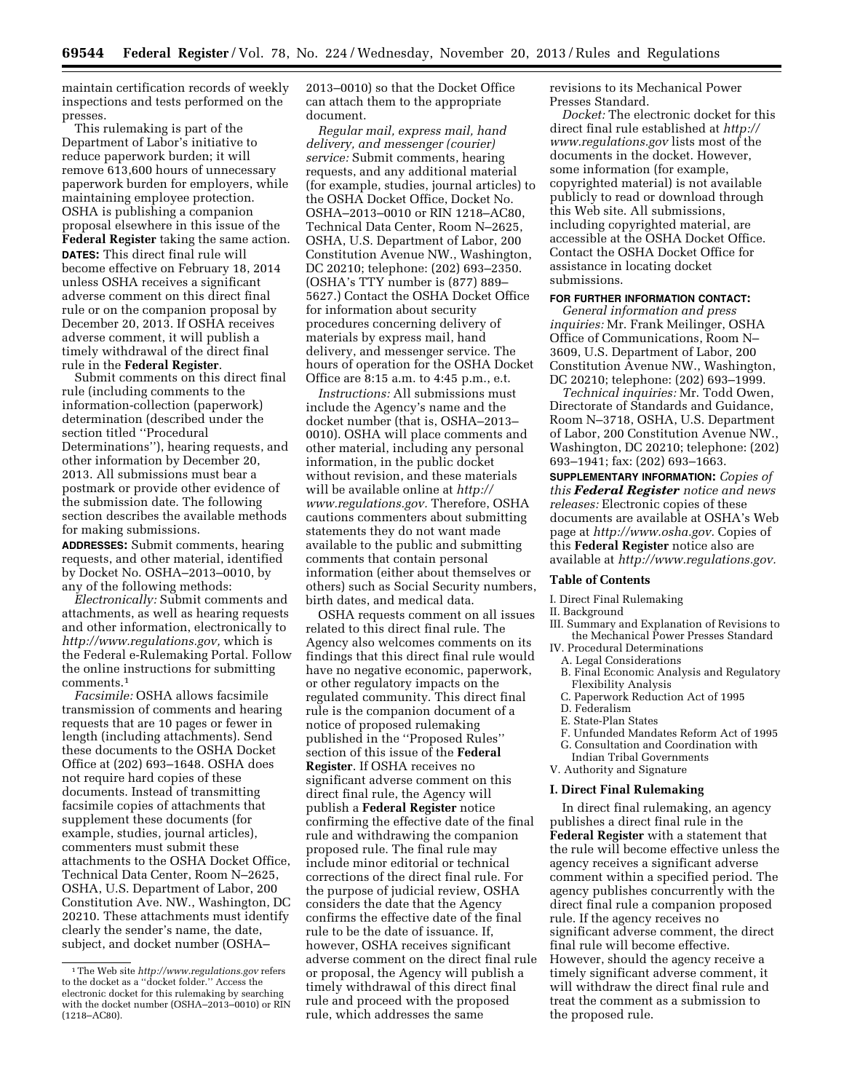maintain certification records of weekly inspections and tests performed on the presses.

This rulemaking is part of the Department of Labor's initiative to reduce paperwork burden; it will remove 613,600 hours of unnecessary paperwork burden for employers, while maintaining employee protection. OSHA is publishing a companion proposal elsewhere in this issue of the **Federal Register** taking the same action. **DATES:** This direct final rule will become effective on February 18, 2014 unless OSHA receives a significant adverse comment on this direct final rule or on the companion proposal by December 20, 2013. If OSHA receives adverse comment, it will publish a timely withdrawal of the direct final rule in the **Federal Register**.

Submit comments on this direct final rule (including comments to the information-collection (paperwork) determination (described under the section titled ''Procedural Determinations''), hearing requests, and other information by December 20, 2013. All submissions must bear a postmark or provide other evidence of the submission date. The following section describes the available methods for making submissions.

**ADDRESSES:** Submit comments, hearing requests, and other material, identified by Docket No. OSHA–2013–0010, by any of the following methods:

*Electronically:* Submit comments and attachments, as well as hearing requests and other information, electronically to *[http://www.regulations.gov,](http://www.regulations.gov)* which is the Federal e-Rulemaking Portal. Follow the online instructions for submitting comments.1

*Facsimile:* OSHA allows facsimile transmission of comments and hearing requests that are 10 pages or fewer in length (including attachments). Send these documents to the OSHA Docket Office at (202) 693–1648. OSHA does not require hard copies of these documents. Instead of transmitting facsimile copies of attachments that supplement these documents (for example, studies, journal articles), commenters must submit these attachments to the OSHA Docket Office, Technical Data Center, Room N–2625, OSHA, U.S. Department of Labor, 200 Constitution Ave. NW., Washington, DC 20210. These attachments must identify clearly the sender's name, the date, subject, and docket number (OSHA–

2013–0010) so that the Docket Office can attach them to the appropriate document.

*Regular mail, express mail, hand delivery, and messenger (courier) service:* Submit comments, hearing requests, and any additional material (for example, studies, journal articles) to the OSHA Docket Office, Docket No. OSHA–2013–0010 or RIN 1218–AC80, Technical Data Center, Room N–2625, OSHA, U.S. Department of Labor, 200 Constitution Avenue NW., Washington, DC 20210; telephone: (202) 693–2350. (OSHA's TTY number is (877) 889– 5627.) Contact the OSHA Docket Office for information about security procedures concerning delivery of materials by express mail, hand delivery, and messenger service. The hours of operation for the OSHA Docket Office are 8:15 a.m. to 4:45 p.m., e.t.

*Instructions:* All submissions must include the Agency's name and the docket number (that is, OSHA–2013– 0010). OSHA will place comments and other material, including any personal information, in the public docket without revision, and these materials will be available online at *[http://](http://www.regulations.gov) [www.regulations.gov.](http://www.regulations.gov)* Therefore, OSHA cautions commenters about submitting statements they do not want made available to the public and submitting comments that contain personal information (either about themselves or others) such as Social Security numbers, birth dates, and medical data.

OSHA requests comment on all issues related to this direct final rule. The Agency also welcomes comments on its findings that this direct final rule would have no negative economic, paperwork, or other regulatory impacts on the regulated community. This direct final rule is the companion document of a notice of proposed rulemaking published in the ''Proposed Rules'' section of this issue of the **Federal Register**. If OSHA receives no significant adverse comment on this direct final rule, the Agency will publish a **Federal Register** notice confirming the effective date of the final rule and withdrawing the companion proposed rule. The final rule may include minor editorial or technical corrections of the direct final rule. For the purpose of judicial review, OSHA considers the date that the Agency confirms the effective date of the final rule to be the date of issuance. If, however, OSHA receives significant adverse comment on the direct final rule or proposal, the Agency will publish a timely withdrawal of this direct final rule and proceed with the proposed rule, which addresses the same

revisions to its Mechanical Power Presses Standard.

*Docket:* The electronic docket for this direct final rule established at *[http://](http://www.regulations.gov) [www.regulations.gov](http://www.regulations.gov)* lists most of the documents in the docket. However, some information (for example, copyrighted material) is not available publicly to read or download through this Web site. All submissions, including copyrighted material, are accessible at the OSHA Docket Office. Contact the OSHA Docket Office for assistance in locating docket submissions.

## **FOR FURTHER INFORMATION CONTACT:**

*General information and press inquiries:* Mr. Frank Meilinger, OSHA Office of Communications, Room N– 3609, U.S. Department of Labor, 200 Constitution Avenue NW., Washington, DC 20210; telephone: (202) 693–1999.

*Technical inquiries:* Mr. Todd Owen, Directorate of Standards and Guidance, Room N–3718, OSHA, U.S. Department of Labor, 200 Constitution Avenue NW., Washington, DC 20210; telephone: (202) 693–1941; fax: (202) 693–1663.

**SUPPLEMENTARY INFORMATION:** *Copies of this Federal Register notice and news releases:* Electronic copies of these documents are available at OSHA's Web page at *[http://www.osha.gov.](http://www.osha.gov)* Copies of this **Federal Register** notice also are available at *[http://www.regulations.gov.](http://www.regulations.gov)* 

#### **Table of Contents**

I. Direct Final Rulemaking

- II. Background
- III. Summary and Explanation of Revisions to the Mechanical Power Presses Standard
- IV. Procedural Determinations
- A. Legal Considerations
- B. Final Economic Analysis and Regulatory Flexibility Analysis
- C. Paperwork Reduction Act of 1995
- D. Federalism
- E. State-Plan States
- F. Unfunded Mandates Reform Act of 1995
- G. Consultation and Coordination with

Indian Tribal Governments V. Authority and Signature

### **I. Direct Final Rulemaking**

In direct final rulemaking, an agency publishes a direct final rule in the **Federal Register** with a statement that the rule will become effective unless the agency receives a significant adverse comment within a specified period. The agency publishes concurrently with the direct final rule a companion proposed rule. If the agency receives no significant adverse comment, the direct final rule will become effective. However, should the agency receive a timely significant adverse comment, it will withdraw the direct final rule and treat the comment as a submission to the proposed rule.

<sup>1</sup>The Web site *<http://www.regulations.gov>* refers to the docket as a ''docket folder.'' Access the electronic docket for this rulemaking by searching with the docket number (OSHA–2013–0010) or RIN (1218–AC80).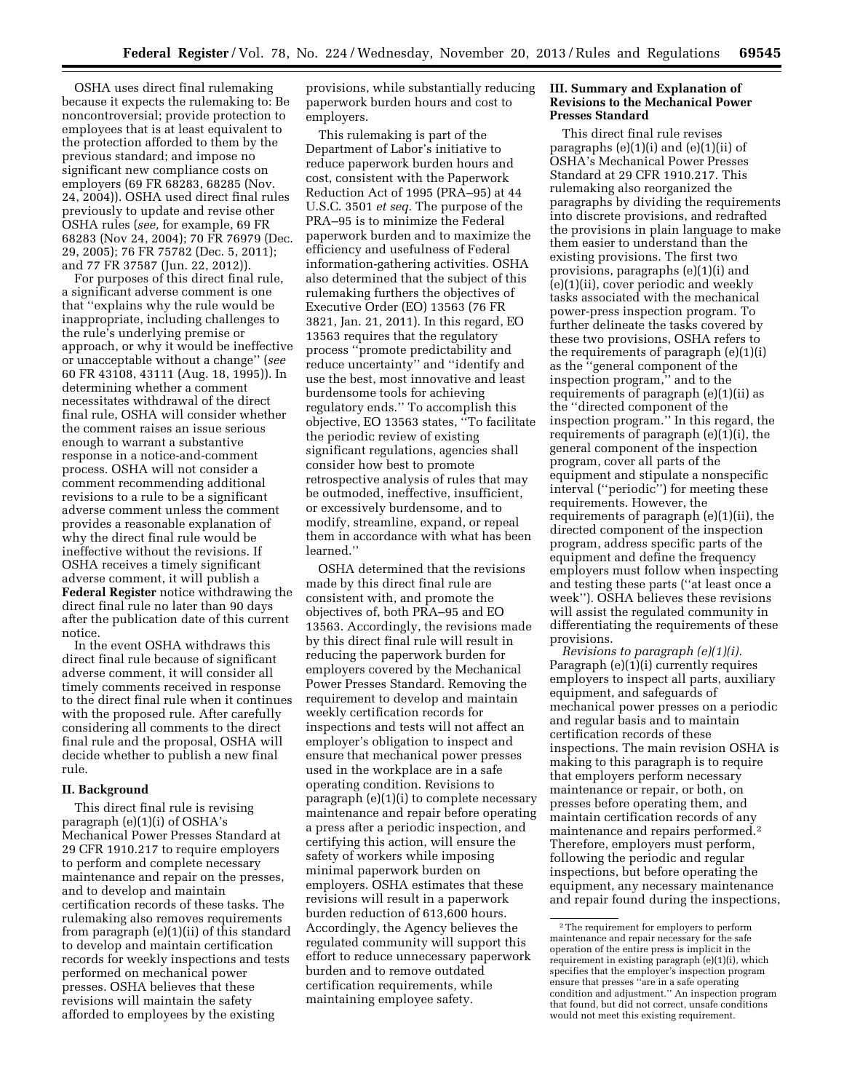OSHA uses direct final rulemaking because it expects the rulemaking to: Be noncontroversial; provide protection to employees that is at least equivalent to the protection afforded to them by the previous standard; and impose no significant new compliance costs on employers (69 FR 68283, 68285 (Nov. 24, 2004)). OSHA used direct final rules previously to update and revise other OSHA rules (*see,* for example, 69 FR 68283 (Nov 24, 2004); 70 FR 76979 (Dec. 29, 2005); 76 FR 75782 (Dec. 5, 2011); and 77 FR 37587 (Jun. 22, 2012)).

For purposes of this direct final rule, a significant adverse comment is one that ''explains why the rule would be inappropriate, including challenges to the rule's underlying premise or approach, or why it would be ineffective or unacceptable without a change'' (*see*  60 FR 43108, 43111 (Aug. 18, 1995)). In determining whether a comment necessitates withdrawal of the direct final rule, OSHA will consider whether the comment raises an issue serious enough to warrant a substantive response in a notice-and-comment process. OSHA will not consider a comment recommending additional revisions to a rule to be a significant adverse comment unless the comment provides a reasonable explanation of why the direct final rule would be ineffective without the revisions. If OSHA receives a timely significant adverse comment, it will publish a **Federal Register** notice withdrawing the direct final rule no later than 90 days after the publication date of this current notice.

In the event OSHA withdraws this direct final rule because of significant adverse comment, it will consider all timely comments received in response to the direct final rule when it continues with the proposed rule. After carefully considering all comments to the direct final rule and the proposal, OSHA will decide whether to publish a new final rule.

### **II. Background**

This direct final rule is revising paragraph (e)(1)(i) of OSHA's Mechanical Power Presses Standard at 29 CFR 1910.217 to require employers to perform and complete necessary maintenance and repair on the presses, and to develop and maintain certification records of these tasks. The rulemaking also removes requirements from paragraph (e)(1)(ii) of this standard to develop and maintain certification records for weekly inspections and tests performed on mechanical power presses. OSHA believes that these revisions will maintain the safety afforded to employees by the existing

provisions, while substantially reducing paperwork burden hours and cost to employers.

This rulemaking is part of the Department of Labor's initiative to reduce paperwork burden hours and cost, consistent with the Paperwork Reduction Act of 1995 (PRA–95) at 44 U.S.C. 3501 *et seq.* The purpose of the PRA–95 is to minimize the Federal paperwork burden and to maximize the efficiency and usefulness of Federal information-gathering activities. OSHA also determined that the subject of this rulemaking furthers the objectives of Executive Order (EO) 13563 (76 FR 3821, Jan. 21, 2011). In this regard, EO 13563 requires that the regulatory process ''promote predictability and reduce uncertainty'' and ''identify and use the best, most innovative and least burdensome tools for achieving regulatory ends.'' To accomplish this objective, EO 13563 states, ''To facilitate the periodic review of existing significant regulations, agencies shall consider how best to promote retrospective analysis of rules that may be outmoded, ineffective, insufficient, or excessively burdensome, and to modify, streamline, expand, or repeal them in accordance with what has been learned.''

OSHA determined that the revisions made by this direct final rule are consistent with, and promote the objectives of, both PRA–95 and EO 13563. Accordingly, the revisions made by this direct final rule will result in reducing the paperwork burden for employers covered by the Mechanical Power Presses Standard. Removing the requirement to develop and maintain weekly certification records for inspections and tests will not affect an employer's obligation to inspect and ensure that mechanical power presses used in the workplace are in a safe operating condition. Revisions to paragraph (e)(1)(i) to complete necessary maintenance and repair before operating a press after a periodic inspection, and certifying this action, will ensure the safety of workers while imposing minimal paperwork burden on employers. OSHA estimates that these revisions will result in a paperwork burden reduction of 613,600 hours. Accordingly, the Agency believes the regulated community will support this effort to reduce unnecessary paperwork burden and to remove outdated certification requirements, while maintaining employee safety.

### **III. Summary and Explanation of Revisions to the Mechanical Power Presses Standard**

This direct final rule revises paragraphs (e)(1)(i) and (e)(1)(ii) of OSHA's Mechanical Power Presses Standard at 29 CFR 1910.217. This rulemaking also reorganized the paragraphs by dividing the requirements into discrete provisions, and redrafted the provisions in plain language to make them easier to understand than the existing provisions. The first two provisions, paragraphs (e)(1)(i) and (e)(1)(ii), cover periodic and weekly tasks associated with the mechanical power-press inspection program. To further delineate the tasks covered by these two provisions, OSHA refers to the requirements of paragraph (e)(1)(i) as the ''general component of the inspection program,'' and to the requirements of paragraph (e)(1)(ii) as the ''directed component of the inspection program.'' In this regard, the requirements of paragraph (e)(1)(i), the general component of the inspection program, cover all parts of the equipment and stipulate a nonspecific interval (''periodic'') for meeting these requirements. However, the requirements of paragraph (e)(1)(ii), the directed component of the inspection program, address specific parts of the equipment and define the frequency employers must follow when inspecting and testing these parts (''at least once a week''). OSHA believes these revisions will assist the regulated community in differentiating the requirements of these provisions.

*Revisions to paragraph (e)(1)(i).*  Paragraph (e)(1)(i) currently requires employers to inspect all parts, auxiliary equipment, and safeguards of mechanical power presses on a periodic and regular basis and to maintain certification records of these inspections. The main revision OSHA is making to this paragraph is to require that employers perform necessary maintenance or repair, or both, on presses before operating them, and maintain certification records of any maintenance and repairs performed.2 Therefore, employers must perform, following the periodic and regular inspections, but before operating the equipment, any necessary maintenance and repair found during the inspections,

<sup>2</sup>The requirement for employers to perform maintenance and repair necessary for the safe operation of the entire press is implicit in the requirement in existing paragraph (e)(1)(i), which specifies that the employer's inspection program ensure that presses ''are in a safe operating condition and adjustment.'' An inspection program that found, but did not correct, unsafe conditions would not meet this existing requirement.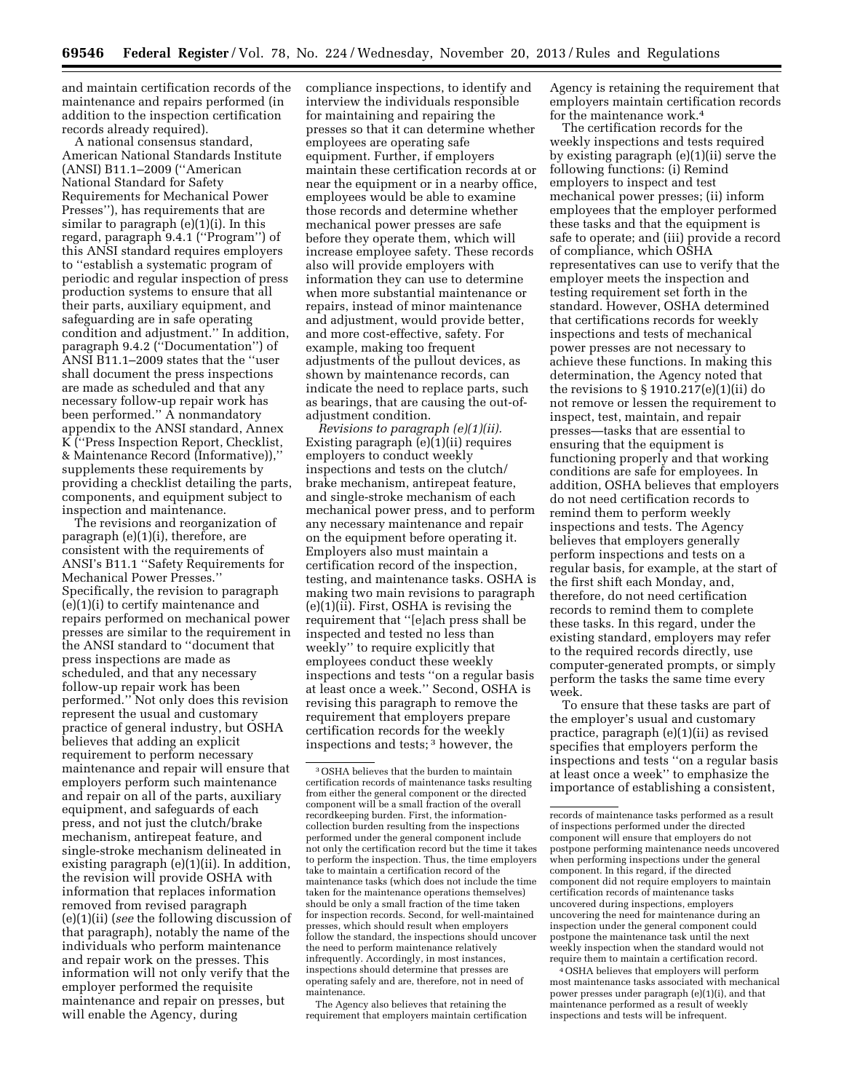and maintain certification records of the maintenance and repairs performed (in addition to the inspection certification records already required).

A national consensus standard, American National Standards Institute (ANSI) B11.1–2009 (''American National Standard for Safety Requirements for Mechanical Power Presses''), has requirements that are similar to paragraph (e)(1)(i). In this regard, paragraph 9.4.1 (''Program'') of this ANSI standard requires employers to ''establish a systematic program of periodic and regular inspection of press production systems to ensure that all their parts, auxiliary equipment, and safeguarding are in safe operating condition and adjustment.'' In addition, paragraph 9.4.2 (''Documentation'') of ANSI B11.1–2009 states that the ''user shall document the press inspections are made as scheduled and that any necessary follow-up repair work has been performed.'' A nonmandatory appendix to the ANSI standard, Annex K (''Press Inspection Report, Checklist, & Maintenance Record (Informative)),'' supplements these requirements by providing a checklist detailing the parts, components, and equipment subject to inspection and maintenance.

The revisions and reorganization of paragraph (e)(1)(i), therefore, are consistent with the requirements of ANSI's B11.1 ''Safety Requirements for Mechanical Power Presses.'' Specifically, the revision to paragraph (e)(1)(i) to certify maintenance and repairs performed on mechanical power presses are similar to the requirement in the ANSI standard to ''document that press inspections are made as scheduled, and that any necessary follow-up repair work has been performed.'' Not only does this revision represent the usual and customary practice of general industry, but OSHA believes that adding an explicit requirement to perform necessary maintenance and repair will ensure that employers perform such maintenance and repair on all of the parts, auxiliary equipment, and safeguards of each press, and not just the clutch/brake mechanism, antirepeat feature, and single-stroke mechanism delineated in existing paragraph (e)(1)(ii). In addition, the revision will provide OSHA with information that replaces information removed from revised paragraph (e)(1)(ii) (*see* the following discussion of that paragraph), notably the name of the individuals who perform maintenance and repair work on the presses. This information will not only verify that the employer performed the requisite maintenance and repair on presses, but will enable the Agency, during

compliance inspections, to identify and interview the individuals responsible for maintaining and repairing the presses so that it can determine whether employees are operating safe equipment. Further, if employers maintain these certification records at or near the equipment or in a nearby office, employees would be able to examine those records and determine whether mechanical power presses are safe before they operate them, which will increase employee safety. These records also will provide employers with information they can use to determine when more substantial maintenance or repairs, instead of minor maintenance and adjustment, would provide better, and more cost-effective, safety. For example, making too frequent adjustments of the pullout devices, as shown by maintenance records, can indicate the need to replace parts, such as bearings, that are causing the out-ofadjustment condition.

*Revisions to paragraph (e)(1)(ii).*  Existing paragraph (e)(1)(ii) requires employers to conduct weekly inspections and tests on the clutch/ brake mechanism, antirepeat feature, and single-stroke mechanism of each mechanical power press, and to perform any necessary maintenance and repair on the equipment before operating it. Employers also must maintain a certification record of the inspection, testing, and maintenance tasks. OSHA is making two main revisions to paragraph (e)(1)(ii). First, OSHA is revising the requirement that ''[e]ach press shall be inspected and tested no less than weekly'' to require explicitly that employees conduct these weekly inspections and tests ''on a regular basis at least once a week.'' Second, OSHA is revising this paragraph to remove the requirement that employers prepare certification records for the weekly inspections and tests; 3 however, the

The Agency also believes that retaining the requirement that employers maintain certification Agency is retaining the requirement that employers maintain certification records for the maintenance work.4

The certification records for the weekly inspections and tests required by existing paragraph (e)(1)(ii) serve the following functions: (i) Remind employers to inspect and test mechanical power presses; (ii) inform employees that the employer performed these tasks and that the equipment is safe to operate; and (iii) provide a record of compliance, which OSHA representatives can use to verify that the employer meets the inspection and testing requirement set forth in the standard. However, OSHA determined that certifications records for weekly inspections and tests of mechanical power presses are not necessary to achieve these functions. In making this determination, the Agency noted that the revisions to  $\S 1910.217(e)(1)(ii)$  do not remove or lessen the requirement to inspect, test, maintain, and repair presses—tasks that are essential to ensuring that the equipment is functioning properly and that working conditions are safe for employees. In addition, OSHA believes that employers do not need certification records to remind them to perform weekly inspections and tests. The Agency believes that employers generally perform inspections and tests on a regular basis, for example, at the start of the first shift each Monday, and, therefore, do not need certification records to remind them to complete these tasks. In this regard, under the existing standard, employers may refer to the required records directly, use computer-generated prompts, or simply perform the tasks the same time every week.

To ensure that these tasks are part of the employer's usual and customary practice, paragraph (e)(1)(ii) as revised specifies that employers perform the inspections and tests ''on a regular basis at least once a week'' to emphasize the importance of establishing a consistent,

4OSHA believes that employers will perform most maintenance tasks associated with mechanical power presses under paragraph (e)(1)(i), and that maintenance performed as a result of weekly inspections and tests will be infrequent.

<sup>3</sup>OSHA believes that the burden to maintain certification records of maintenance tasks resulting from either the general component or the directed component will be a small fraction of the overall recordkeeping burden. First, the informationcollection burden resulting from the inspections performed under the general component include not only the certification record but the time it takes to perform the inspection. Thus, the time employers take to maintain a certification record of the maintenance tasks (which does not include the time taken for the maintenance operations themselves) should be only a small fraction of the time taken for inspection records. Second, for well-maintained presses, which should result when employers follow the standard, the inspections should uncover the need to perform maintenance relatively infrequently. Accordingly, in most instances, inspections should determine that presses are operating safely and are, therefore, not in need of maintenance.

records of maintenance tasks performed as a result of inspections performed under the directed component will ensure that employers do not postpone performing maintenance needs uncovered when performing inspections under the general component. In this regard, if the directed component did not require employers to maintain certification records of maintenance tasks uncovered during inspections, employers uncovering the need for maintenance during an inspection under the general component could postpone the maintenance task until the next weekly inspection when the standard would not require them to maintain a certification record.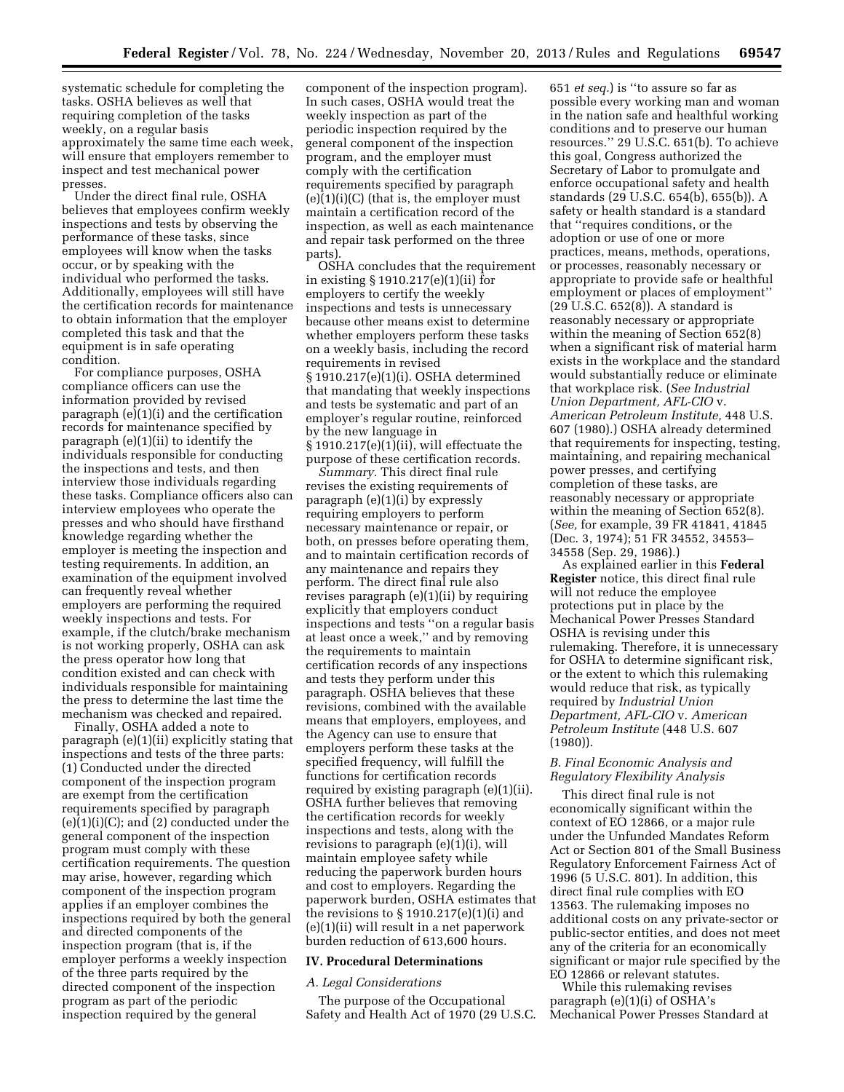systematic schedule for completing the tasks. OSHA believes as well that requiring completion of the tasks weekly, on a regular basis approximately the same time each week, will ensure that employers remember to inspect and test mechanical power presses.

Under the direct final rule, OSHA believes that employees confirm weekly inspections and tests by observing the performance of these tasks, since employees will know when the tasks occur, or by speaking with the individual who performed the tasks. Additionally, employees will still have the certification records for maintenance to obtain information that the employer completed this task and that the equipment is in safe operating condition.

For compliance purposes, OSHA compliance officers can use the information provided by revised paragraph (e)(1)(i) and the certification records for maintenance specified by paragraph (e)(1)(ii) to identify the individuals responsible for conducting the inspections and tests, and then interview those individuals regarding these tasks. Compliance officers also can interview employees who operate the presses and who should have firsthand knowledge regarding whether the employer is meeting the inspection and testing requirements. In addition, an examination of the equipment involved can frequently reveal whether employers are performing the required weekly inspections and tests. For example, if the clutch/brake mechanism is not working properly, OSHA can ask the press operator how long that condition existed and can check with individuals responsible for maintaining the press to determine the last time the mechanism was checked and repaired.

Finally, OSHA added a note to paragraph (e)(1)(ii) explicitly stating that inspections and tests of the three parts: (1) Conducted under the directed component of the inspection program are exempt from the certification requirements specified by paragraph (e)(1)(i)(C); and (2) conducted under the general component of the inspection program must comply with these certification requirements. The question may arise, however, regarding which component of the inspection program applies if an employer combines the inspections required by both the general and directed components of the inspection program (that is, if the employer performs a weekly inspection of the three parts required by the directed component of the inspection program as part of the periodic inspection required by the general

component of the inspection program). In such cases, OSHA would treat the weekly inspection as part of the periodic inspection required by the general component of the inspection program, and the employer must comply with the certification requirements specified by paragraph (e)(1)(i)(C) (that is, the employer must maintain a certification record of the inspection, as well as each maintenance and repair task performed on the three parts).

OSHA concludes that the requirement in existing § 1910.217(e)(1)(ii) for employers to certify the weekly inspections and tests is unnecessary because other means exist to determine whether employers perform these tasks on a weekly basis, including the record requirements in revised § 1910.217(e)(1)(i). OSHA determined that mandating that weekly inspections and tests be systematic and part of an employer's regular routine, reinforced by the new language in § 1910.217(e)(1)(ii), will effectuate the

purpose of these certification records. *Summary.* This direct final rule revises the existing requirements of paragraph (e)(1)(i) by expressly requiring employers to perform necessary maintenance or repair, or both, on presses before operating them, and to maintain certification records of any maintenance and repairs they perform. The direct final rule also revises paragraph (e)(1)(ii) by requiring explicitly that employers conduct inspections and tests ''on a regular basis at least once a week,'' and by removing the requirements to maintain certification records of any inspections and tests they perform under this paragraph. OSHA believes that these revisions, combined with the available means that employers, employees, and the Agency can use to ensure that employers perform these tasks at the specified frequency, will fulfill the functions for certification records required by existing paragraph (e)(1)(ii). OSHA further believes that removing the certification records for weekly inspections and tests, along with the revisions to paragraph (e)(1)(i), will maintain employee safety while reducing the paperwork burden hours and cost to employers. Regarding the paperwork burden, OSHA estimates that the revisions to  $\S 1910.217(e)(1)(i)$  and (e)(1)(ii) will result in a net paperwork burden reduction of 613,600 hours.

## **IV. Procedural Determinations**

### *A. Legal Considerations*

The purpose of the Occupational Safety and Health Act of 1970 (29 U.S.C.

651 *et seq.*) is ''to assure so far as possible every working man and woman in the nation safe and healthful working conditions and to preserve our human resources.'' 29 U.S.C. 651(b). To achieve this goal, Congress authorized the Secretary of Labor to promulgate and enforce occupational safety and health standards (29 U.S.C. 654(b), 655(b)). A safety or health standard is a standard that ''requires conditions, or the adoption or use of one or more practices, means, methods, operations, or processes, reasonably necessary or appropriate to provide safe or healthful employment or places of employment'' (29 U.S.C. 652(8)). A standard is reasonably necessary or appropriate within the meaning of Section 652(8) when a significant risk of material harm exists in the workplace and the standard would substantially reduce or eliminate that workplace risk. (*See Industrial Union Department, AFL-CIO* v. *American Petroleum Institute,* 448 U.S. 607 (1980).) OSHA already determined that requirements for inspecting, testing, maintaining, and repairing mechanical power presses, and certifying completion of these tasks, are reasonably necessary or appropriate within the meaning of Section 652(8). (*See,* for example, 39 FR 41841, 41845 (Dec. 3, 1974); 51 FR 34552, 34553– 34558 (Sep. 29, 1986).)

As explained earlier in this **Federal Register** notice, this direct final rule will not reduce the employee protections put in place by the Mechanical Power Presses Standard OSHA is revising under this rulemaking. Therefore, it is unnecessary for OSHA to determine significant risk, or the extent to which this rulemaking would reduce that risk, as typically required by *Industrial Union Department, AFL-CIO* v. *American Petroleum Institute* (448 U.S. 607 (1980)).

## *B. Final Economic Analysis and Regulatory Flexibility Analysis*

This direct final rule is not economically significant within the context of EO 12866, or a major rule under the Unfunded Mandates Reform Act or Section 801 of the Small Business Regulatory Enforcement Fairness Act of 1996 (5 U.S.C. 801). In addition, this direct final rule complies with EO 13563. The rulemaking imposes no additional costs on any private-sector or public-sector entities, and does not meet any of the criteria for an economically significant or major rule specified by the EO 12866 or relevant statutes.

While this rulemaking revises paragraph (e)(1)(i) of OSHA's Mechanical Power Presses Standard at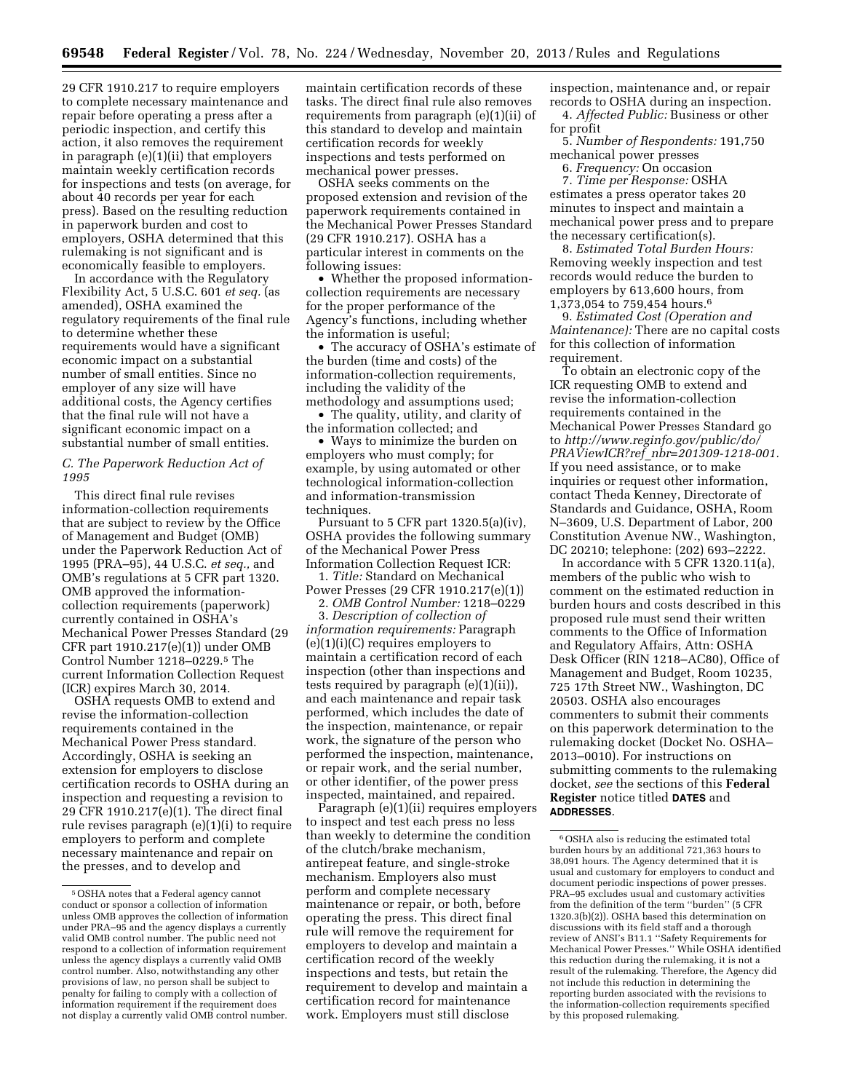29 CFR 1910.217 to require employers to complete necessary maintenance and repair before operating a press after a periodic inspection, and certify this action, it also removes the requirement in paragraph (e)(1)(ii) that employers maintain weekly certification records for inspections and tests (on average, for about 40 records per year for each press). Based on the resulting reduction in paperwork burden and cost to employers, OSHA determined that this rulemaking is not significant and is economically feasible to employers.

In accordance with the Regulatory Flexibility Act, 5 U.S.C. 601 *et seq.* (as amended), OSHA examined the regulatory requirements of the final rule to determine whether these requirements would have a significant economic impact on a substantial number of small entities. Since no employer of any size will have additional costs, the Agency certifies that the final rule will not have a significant economic impact on a substantial number of small entities.

## *C. The Paperwork Reduction Act of 1995*

This direct final rule revises information-collection requirements that are subject to review by the Office of Management and Budget (OMB) under the Paperwork Reduction Act of 1995 (PRA–95), 44 U.S.C. *et seq.,* and OMB's regulations at 5 CFR part 1320. OMB approved the informationcollection requirements (paperwork) currently contained in OSHA's Mechanical Power Presses Standard (29 CFR part 1910.217(e)(1)) under OMB Control Number 1218–0229.5 The current Information Collection Request (ICR) expires March 30, 2014.

OSHA requests OMB to extend and revise the information-collection requirements contained in the Mechanical Power Press standard. Accordingly, OSHA is seeking an extension for employers to disclose certification records to OSHA during an inspection and requesting a revision to 29 CFR 1910.217(e)(1). The direct final rule revises paragraph (e)(1)(i) to require employers to perform and complete necessary maintenance and repair on the presses, and to develop and

maintain certification records of these tasks. The direct final rule also removes requirements from paragraph (e)(1)(ii) of this standard to develop and maintain certification records for weekly inspections and tests performed on mechanical power presses.

OSHA seeks comments on the proposed extension and revision of the paperwork requirements contained in the Mechanical Power Presses Standard (29 CFR 1910.217). OSHA has a particular interest in comments on the following issues:

• Whether the proposed informationcollection requirements are necessary for the proper performance of the Agency's functions, including whether the information is useful;

• The accuracy of OSHA's estimate of the burden (time and costs) of the information-collection requirements, including the validity of the methodology and assumptions used;

• The quality, utility, and clarity of the information collected; and

• Ways to minimize the burden on employers who must comply; for example, by using automated or other technological information-collection and information-transmission techniques.

Pursuant to 5 CFR part 1320.5(a)(iv), OSHA provides the following summary of the Mechanical Power Press Information Collection Request ICR:

1. *Title:* Standard on Mechanical Power Presses (29 CFR 1910.217(e)(1))

2. *OMB Control Number:* 1218–0229 3. *Description of collection of information requirements:* Paragraph  $(e)(1)(i)(C)$  requires employers to maintain a certification record of each inspection (other than inspections and tests required by paragraph (e)(1)(ii)), and each maintenance and repair task performed, which includes the date of the inspection, maintenance, or repair work, the signature of the person who performed the inspection, maintenance, or repair work, and the serial number, or other identifier, of the power press inspected, maintained, and repaired.

Paragraph (e)(1)(ii) requires employers to inspect and test each press no less than weekly to determine the condition of the clutch/brake mechanism, antirepeat feature, and single-stroke mechanism. Employers also must perform and complete necessary maintenance or repair, or both, before operating the press. This direct final rule will remove the requirement for employers to develop and maintain a certification record of the weekly inspections and tests, but retain the requirement to develop and maintain a certification record for maintenance work. Employers must still disclose

inspection, maintenance and, or repair records to OSHA during an inspection. 4. *Affected Public:* Business or other for profit

5. *Number of Respondents:* 191,750 mechanical power presses

6. *Frequency:* On occasion

7. *Time per Response:* OSHA estimates a press operator takes 20 minutes to inspect and maintain a mechanical power press and to prepare the necessary certification(s).

8. *Estimated Total Burden Hours:*  Removing weekly inspection and test records would reduce the burden to employers by 613,600 hours, from 1,373,054 to 759,454 hours.6

9. *Estimated Cost (Operation and Maintenance):* There are no capital costs for this collection of information requirement.

To obtain an electronic copy of the ICR requesting OMB to extend and revise the information-collection requirements contained in the Mechanical Power Presses Standard go to *[http://www.reginfo.gov/public/do/](http://www.reginfo.gov/public/do/PRAViewICR?ref_nbr=201309-1218-001) PRAViewICR?ref*\_*[nbr=201309-1218-001.](http://www.reginfo.gov/public/do/PRAViewICR?ref_nbr=201309-1218-001)*  If you need assistance, or to make inquiries or request other information, contact Theda Kenney, Directorate of Standards and Guidance, OSHA, Room N–3609, U.S. Department of Labor, 200 Constitution Avenue NW., Washington, DC 20210; telephone: (202) 693–2222.

In accordance with 5 CFR 1320.11(a), members of the public who wish to comment on the estimated reduction in burden hours and costs described in this proposed rule must send their written comments to the Office of Information and Regulatory Affairs, Attn: OSHA Desk Officer (RIN 1218–AC80), Office of Management and Budget, Room 10235, 725 17th Street NW., Washington, DC 20503. OSHA also encourages commenters to submit their comments on this paperwork determination to the rulemaking docket (Docket No. OSHA– 2013–0010). For instructions on submitting comments to the rulemaking docket, *see* the sections of this **Federal Register** notice titled **DATES** and **ADDRESSES**.

<sup>5</sup>OSHA notes that a Federal agency cannot conduct or sponsor a collection of information unless OMB approves the collection of information under PRA–95 and the agency displays a currently valid OMB control number. The public need not respond to a collection of information requirement unless the agency displays a currently valid OMB control number. Also, notwithstanding any other provisions of law, no person shall be subject to penalty for failing to comply with a collection of information requirement if the requirement does not display a currently valid OMB control number.

 $^{\rm 6}$  OSHA also is reducing the estimated total burden hours by an additional 721,363 hours to 38,091 hours. The Agency determined that it is usual and customary for employers to conduct and document periodic inspections of power presses. PRA–95 excludes usual and customary activities from the definition of the term ''burden'' (5 CFR 1320.3(b)(2)). OSHA based this determination on discussions with its field staff and a thorough review of ANSI's B11.1 ''Safety Requirements for Mechanical Power Presses.'' While OSHA identified this reduction during the rulemaking, it is not a result of the rulemaking. Therefore, the Agency did not include this reduction in determining the reporting burden associated with the revisions to the information-collection requirements specified by this proposed rulemaking.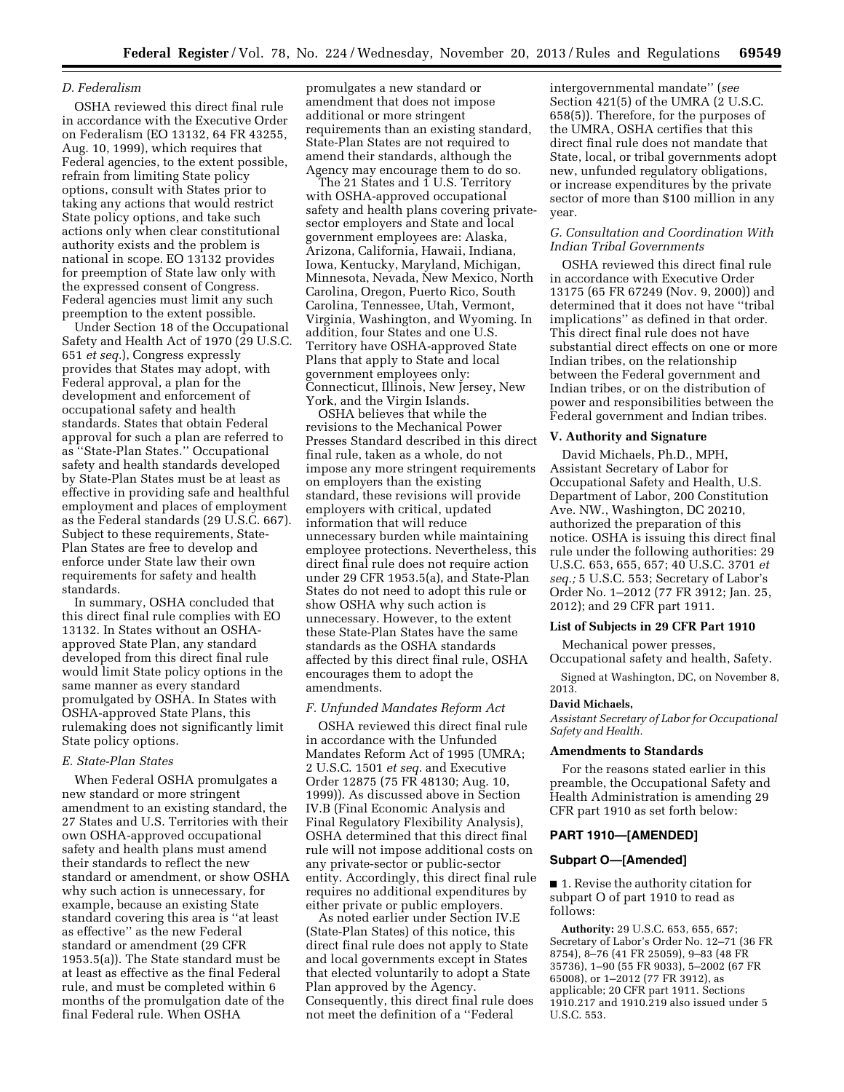## *D. Federalism*

OSHA reviewed this direct final rule in accordance with the Executive Order on Federalism (EO 13132, 64 FR 43255, Aug. 10, 1999), which requires that Federal agencies, to the extent possible, refrain from limiting State policy options, consult with States prior to taking any actions that would restrict State policy options, and take such actions only when clear constitutional authority exists and the problem is national in scope. EO 13132 provides for preemption of State law only with the expressed consent of Congress. Federal agencies must limit any such preemption to the extent possible.

Under Section 18 of the Occupational Safety and Health Act of 1970 (29 U.S.C. 651 *et seq.*), Congress expressly provides that States may adopt, with Federal approval, a plan for the development and enforcement of occupational safety and health standards. States that obtain Federal approval for such a plan are referred to as ''State-Plan States.'' Occupational safety and health standards developed by State-Plan States must be at least as effective in providing safe and healthful employment and places of employment as the Federal standards (29 U.S.C. 667). Subject to these requirements, State-Plan States are free to develop and enforce under State law their own requirements for safety and health standards.

In summary, OSHA concluded that this direct final rule complies with EO 13132. In States without an OSHAapproved State Plan, any standard developed from this direct final rule would limit State policy options in the same manner as every standard promulgated by OSHA. In States with OSHA-approved State Plans, this rulemaking does not significantly limit State policy options.

### *E. State-Plan States*

When Federal OSHA promulgates a new standard or more stringent amendment to an existing standard, the 27 States and U.S. Territories with their own OSHA-approved occupational safety and health plans must amend their standards to reflect the new standard or amendment, or show OSHA why such action is unnecessary, for example, because an existing State standard covering this area is ''at least as effective'' as the new Federal standard or amendment (29 CFR 1953.5(a)). The State standard must be at least as effective as the final Federal rule, and must be completed within 6 months of the promulgation date of the final Federal rule. When OSHA

promulgates a new standard or amendment that does not impose additional or more stringent requirements than an existing standard, State-Plan States are not required to amend their standards, although the Agency may encourage them to do so.

The 21 States and 1 U.S. Territory with OSHA-approved occupational safety and health plans covering privatesector employers and State and local government employees are: Alaska, Arizona, California, Hawaii, Indiana, Iowa, Kentucky, Maryland, Michigan, Minnesota, Nevada, New Mexico, North Carolina, Oregon, Puerto Rico, South Carolina, Tennessee, Utah, Vermont, Virginia, Washington, and Wyoming. In addition, four States and one U.S. Territory have OSHA-approved State Plans that apply to State and local government employees only: Connecticut, Illinois, New Jersey, New York, and the Virgin Islands.

OSHA believes that while the revisions to the Mechanical Power Presses Standard described in this direct final rule, taken as a whole, do not impose any more stringent requirements on employers than the existing standard, these revisions will provide employers with critical, updated information that will reduce unnecessary burden while maintaining employee protections. Nevertheless, this direct final rule does not require action under 29 CFR 1953.5(a), and State-Plan States do not need to adopt this rule or show OSHA why such action is unnecessary. However, to the extent these State-Plan States have the same standards as the OSHA standards affected by this direct final rule, OSHA encourages them to adopt the amendments.

#### *F. Unfunded Mandates Reform Act*

OSHA reviewed this direct final rule in accordance with the Unfunded Mandates Reform Act of 1995 (UMRA; 2 U.S.C. 1501 *et seq.* and Executive Order 12875 (75 FR 48130; Aug. 10, 1999)). As discussed above in Section IV.B (Final Economic Analysis and Final Regulatory Flexibility Analysis), OSHA determined that this direct final rule will not impose additional costs on any private-sector or public-sector entity. Accordingly, this direct final rule requires no additional expenditures by either private or public employers.

As noted earlier under Section IV.E (State-Plan States) of this notice, this direct final rule does not apply to State and local governments except in States that elected voluntarily to adopt a State Plan approved by the Agency. Consequently, this direct final rule does not meet the definition of a ''Federal

intergovernmental mandate'' (*see*  Section 421(5) of the UMRA (2 U.S.C. 658(5)). Therefore, for the purposes of the UMRA, OSHA certifies that this direct final rule does not mandate that State, local, or tribal governments adopt new, unfunded regulatory obligations, or increase expenditures by the private sector of more than \$100 million in any year.

### *G. Consultation and Coordination With Indian Tribal Governments*

OSHA reviewed this direct final rule in accordance with Executive Order 13175 (65 FR 67249 (Nov. 9, 2000)) and determined that it does not have ''tribal implications'' as defined in that order. This direct final rule does not have substantial direct effects on one or more Indian tribes, on the relationship between the Federal government and Indian tribes, or on the distribution of power and responsibilities between the Federal government and Indian tribes.

### **V. Authority and Signature**

David Michaels, Ph.D., MPH, Assistant Secretary of Labor for Occupational Safety and Health, U.S. Department of Labor, 200 Constitution Ave. NW., Washington, DC 20210, authorized the preparation of this notice. OSHA is issuing this direct final rule under the following authorities: 29 U.S.C. 653, 655, 657; 40 U.S.C. 3701 *et seq.;* 5 U.S.C. 553; Secretary of Labor's Order No. 1–2012 (77 FR 3912; Jan. 25, 2012); and 29 CFR part 1911.

### **List of Subjects in 29 CFR Part 1910**

Mechanical power presses, Occupational safety and health, Safety.

Signed at Washington, DC, on November 8, 2013.

#### **David Michaels,**

*Assistant Secretary of Labor for Occupational Safety and Health.* 

### **Amendments to Standards**

For the reasons stated earlier in this preamble, the Occupational Safety and Health Administration is amending 29 CFR part 1910 as set forth below:

## **PART 1910—[AMENDED]**

### **Subpart O—[Amended]**

■ 1. Revise the authority citation for subpart O of part 1910 to read as follows:

**Authority:** 29 U.S.C. 653, 655, 657; Secretary of Labor's Order No. 12–71 (36 FR 8754), 8–76 (41 FR 25059), 9–83 (48 FR 35736), 1–90 (55 FR 9033), 5–2002 (67 FR 65008), or 1–2012 (77 FR 3912), as applicable; 20 CFR part 1911. Sections 1910.217 and 1910.219 also issued under 5 U.S.C. 553.